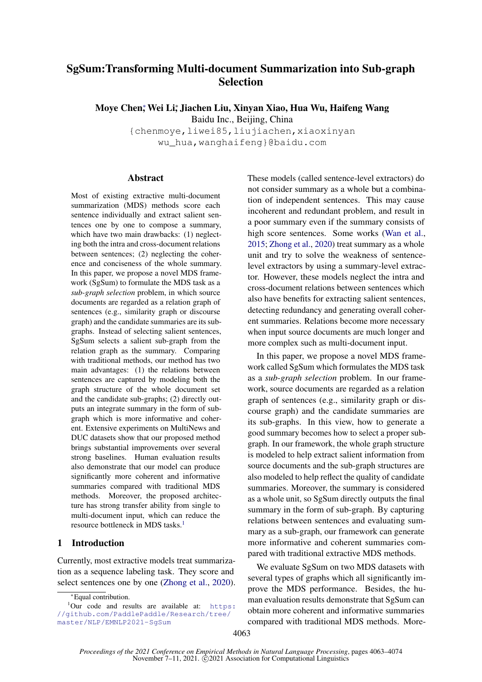# SgSum:Transforming Multi-document Summarization into Sub-graph **Selection**

Moye Chen, <sup>w</sup>ei Li, Jiachen Liu, Xinyan Xiao, Hua Wu, Haifeng Wang

Baidu Inc., Beijing, China

{chenmoye,liwei85,liujiachen,xiaoxinyan wu\_hua,wanghaifeng}@baidu.com

## Abstract

Most of existing extractive multi-document summarization (MDS) methods score each sentence individually and extract salient sentences one by one to compose a summary, which have two main drawbacks: (1) neglecting both the intra and cross-document relations between sentences; (2) neglecting the coherence and conciseness of the whole summary. In this paper, we propose a novel MDS framework (SgSum) to formulate the MDS task as a *sub-graph selection* problem, in which source documents are regarded as a relation graph of sentences (e.g., similarity graph or discourse graph) and the candidate summaries are its subgraphs. Instead of selecting salient sentences, SgSum selects a salient sub-graph from the relation graph as the summary. Comparing with traditional methods, our method has two main advantages: (1) the relations between sentences are captured by modeling both the graph structure of the whole document set and the candidate sub-graphs; (2) directly outputs an integrate summary in the form of subgraph which is more informative and coherent. Extensive experiments on MultiNews and DUC datasets show that our proposed method brings substantial improvements over several strong baselines. Human evaluation results also demonstrate that our model can produce significantly more coherent and informative summaries compared with traditional MDS methods. Moreover, the proposed architecture has strong transfer ability from single to multi-document input, which can reduce the resource bottleneck in MDS tasks.<sup>[1](#page-0-0)</sup>

# 1 Introduction

Currently, most extractive models treat summarization as a sequence labeling task. They score and select sentences one by one [\(Zhong et al.,](#page-11-0) [2020\)](#page-11-0). These models (called sentence-level extractors) do not consider summary as a whole but a combination of independent sentences. This may cause incoherent and redundant problem, and result in a poor summary even if the summary consists of high score sentences. Some works [\(Wan et al.,](#page-10-0) [2015;](#page-10-0) [Zhong et al.,](#page-11-0) [2020\)](#page-11-0) treat summary as a whole unit and try to solve the weakness of sentencelevel extractors by using a summary-level extractor. However, these models neglect the intra and cross-document relations between sentences which also have benefits for extracting salient sentences, detecting redundancy and generating overall coherent summaries. Relations become more necessary when input source documents are much longer and more complex such as multi-document input.

In this paper, we propose a novel MDS framework called SgSum which formulates the MDS task as a *sub-graph selection* problem. In our framework, source documents are regarded as a relation graph of sentences (e.g., similarity graph or discourse graph) and the candidate summaries are its sub-graphs. In this view, how to generate a good summary becomes how to select a proper subgraph. In our framework, the whole graph structure is modeled to help extract salient information from source documents and the sub-graph structures are also modeled to help reflect the quality of candidate summaries. Moreover, the summary is considered as a whole unit, so SgSum directly outputs the final summary in the form of sub-graph. By capturing relations between sentences and evaluating summary as a sub-graph, our framework can generate more informative and coherent summaries compared with traditional extractive MDS methods.

We evaluate SgSum on two MDS datasets with several types of graphs which all significantly improve the MDS performance. Besides, the human evaluation results demonstrate that SgSum can obtain more coherent and informative summaries compared with traditional MDS methods. More-

<span id="page-0-0"></span><sup>∗</sup>Equal contribution.

 $1$ Our code and results are available at: [https:](https://github.com/PaddlePaddle/Research/tree/master/NLP/EMNLP2021-SgSum) [//github.com/PaddlePaddle/Research/tree/](https://github.com/PaddlePaddle/Research/tree/master/NLP/EMNLP2021-SgSum) [master/NLP/EMNLP2021-SgSum](https://github.com/PaddlePaddle/Research/tree/master/NLP/EMNLP2021-SgSum)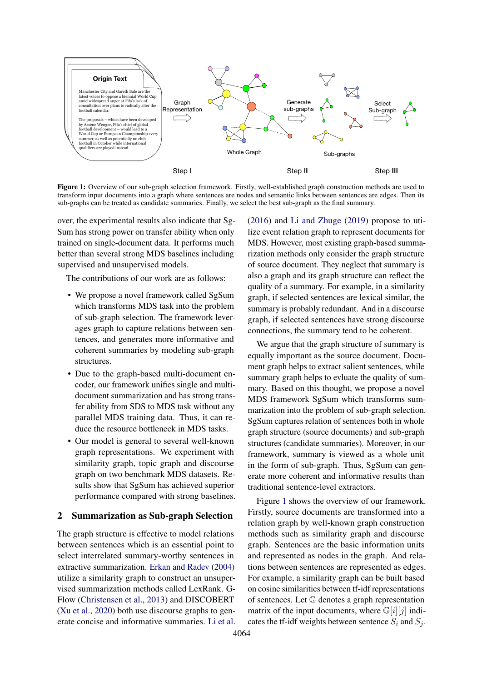<span id="page-1-0"></span>

Figure 1: Overview of our sub-graph selection framework. Firstly, well-established graph construction methods are used to transform input documents into a graph where sentences are nodes and semantic links between sentences are edges. Then its sub-graphs can be treated as candidate summaries. Finally, we select the best sub-graph as the final summary.

over, the experimental results also indicate that Sg-Sum has strong power on transfer ability when only trained on single-document data. It performs much better than several strong MDS baselines including supervised and unsupervised models.

The contributions of our work are as follows:

- We propose a novel framework called SgSum which transforms MDS task into the problem of sub-graph selection. The framework leverages graph to capture relations between sentences, and generates more informative and coherent summaries by modeling sub-graph structures.
- Due to the graph-based multi-document encoder, our framework unifies single and multidocument summarization and has strong transfer ability from SDS to MDS task without any parallel MDS training data. Thus, it can reduce the resource bottleneck in MDS tasks.
- Our model is general to several well-known graph representations. We experiment with similarity graph, topic graph and discourse graph on two benchmark MDS datasets. Results show that SgSum has achieved superior performance compared with strong baselines.

# <span id="page-1-1"></span>2 Summarization as Sub-graph Selection

The graph structure is effective to model relations between sentences which is an essential point to select interrelated summary-worthy sentences in extractive summarization. [Erkan and Radev](#page-9-0) [\(2004\)](#page-9-0) utilize a similarity graph to construct an unsupervised summarization methods called LexRank. G-Flow [\(Christensen et al.,](#page-9-1) [2013\)](#page-9-1) and DISCOBERT [\(Xu et al.,](#page-11-1) [2020\)](#page-11-1) both use discourse graphs to generate concise and informative summaries. [Li et al.](#page-9-2) [\(2016\)](#page-9-2) and [Li and Zhuge](#page-9-3) [\(2019\)](#page-9-3) propose to utilize event relation graph to represent documents for MDS. However, most existing graph-based summarization methods only consider the graph structure of source document. They neglect that summary is also a graph and its graph structure can reflect the quality of a summary. For example, in a similarity graph, if selected sentences are lexical similar, the summary is probably redundant. And in a discourse graph, if selected sentences have strong discourse connections, the summary tend to be coherent.

We argue that the graph structure of summary is equally important as the source document. Document graph helps to extract salient sentences, while summary graph helps to evluate the quality of summary. Based on this thought, we propose a novel MDS framework SgSum which transforms summarization into the problem of sub-graph selection. SgSum captures relation of sentences both in whole graph structure (source documents) and sub-graph structures (candidate summaries). Moreover, in our framework, summary is viewed as a whole unit in the form of sub-graph. Thus, SgSum can generate more coherent and informative results than traditional sentence-level extractors.

Figure [1](#page-1-0) shows the overview of our framework. Firstly, source documents are transformed into a relation graph by well-known graph construction methods such as similarity graph and discourse graph. Sentences are the basic information units and represented as nodes in the graph. And relations between sentences are represented as edges. For example, a similarity graph can be built based on cosine similarities between tf-idf representations of sentences. Let G denotes a graph representation matrix of the input documents, where  $\mathbb{G}[i][j]$  indicates the tf-idf weights between sentence  $S_i$  and  $S_j$ .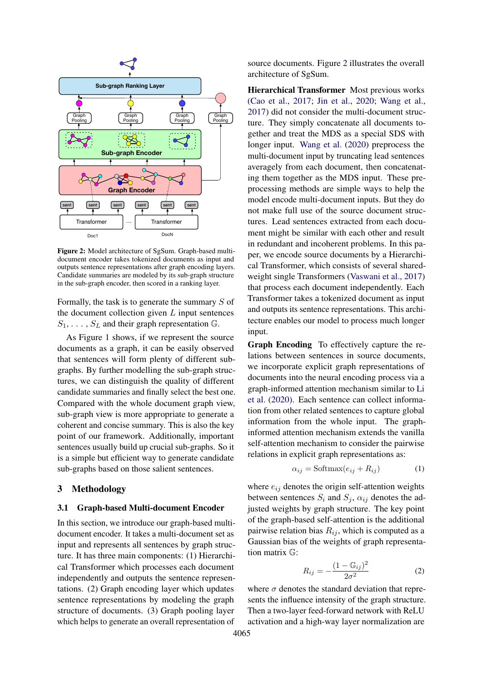<span id="page-2-0"></span>

Figure 2: Model architecture of SgSum. Graph-based multidocument encoder takes tokenized documents as input and outputs sentence representations after graph encoding layers. Candidate summaries are modeled by its sub-graph structure in the sub-graph encoder, then scored in a ranking layer.

Formally, the task is to generate the summary  $S$  of the document collection given  $L$  input sentences  $S_1, \ldots, S_L$  and their graph representation  $\mathbb{G}$ .

As Figure [1](#page-1-0) shows, if we represent the source documents as a graph, it can be easily observed that sentences will form plenty of different subgraphs. By further modelling the sub-graph structures, we can distinguish the quality of different candidate summaries and finally select the best one. Compared with the whole document graph view, sub-graph view is more appropriate to generate a coherent and concise summary. This is also the key point of our framework. Additionally, important sentences usually build up crucial sub-graphs. So it is a simple but efficient way to generate candidate sub-graphs based on those salient sentences.

# 3 Methodology

#### 3.1 Graph-based Multi-document Encoder

In this section, we introduce our graph-based multidocument encoder. It takes a multi-document set as input and represents all sentences by graph structure. It has three main components: (1) Hierarchical Transformer which processes each document independently and outputs the sentence representations. (2) Graph encoding layer which updates sentence representations by modeling the graph structure of documents. (3) Graph pooling layer which helps to generate an overall representation of

source documents. Figure [2](#page-2-0) illustrates the overall architecture of SgSum.

Hierarchical Transformer Most previous works [\(Cao et al.,](#page-8-0) [2017;](#page-8-0) [Jin et al.,](#page-9-4) [2020;](#page-9-4) [Wang et al.,](#page-11-2) [2017\)](#page-11-2) did not consider the multi-document structure. They simply concatenate all documents together and treat the MDS as a special SDS with longer input. [Wang et al.](#page-10-1) [\(2020\)](#page-10-1) preprocess the multi-document input by truncating lead sentences averagely from each document, then concatenating them together as the MDS input. These preprocessing methods are simple ways to help the model encode multi-document inputs. But they do not make full use of the source document structures. Lead sentences extracted from each document might be similar with each other and result in redundant and incoherent problems. In this paper, we encode source documents by a Hierarchical Transformer, which consists of several sharedweight single Transformers [\(Vaswani et al.,](#page-10-2) [2017\)](#page-10-2) that process each document independently. Each Transformer takes a tokenized document as input and outputs its sentence representations. This architecture enables our model to process much longer input.

Graph Encoding To effectively capture the relations between sentences in source documents, we incorporate explicit graph representations of documents into the neural encoding process via a graph-informed attention mechanism similar to [Li](#page-9-5) [et al.](#page-9-5) [\(2020\)](#page-9-5). Each sentence can collect information from other related sentences to capture global information from the whole input. The graphinformed attention mechanism extends the vanilla self-attention mechanism to consider the pairwise relations in explicit graph representations as:

$$
\alpha_{ij} = \text{Softmax}(e_{ij} + R_{ij}) \tag{1}
$$

where  $e_{ij}$  denotes the origin self-attention weights between sentences  $S_i$  and  $S_j$ ,  $\alpha_{ij}$  denotes the adjusted weights by graph structure. The key point of the graph-based self-attention is the additional pairwise relation bias  $R_{ij}$ , which is computed as a Gaussian bias of the weights of graph representation matrix G:

$$
R_{ij} = -\frac{(1 - \mathbb{G}_{ij})^2}{2\sigma^2} \tag{2}
$$

where  $\sigma$  denotes the standard deviation that represents the influence intensity of the graph structure. Then a two-layer feed-forward network with ReLU activation and a high-way layer normalization are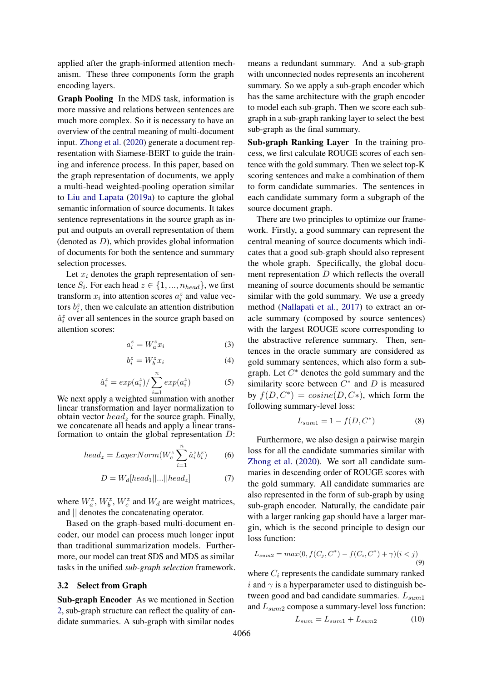applied after the graph-informed attention mechanism. These three components form the graph encoding layers.

Graph Pooling In the MDS task, information is more massive and relations between sentences are much more complex. So it is necessary to have an overview of the central meaning of multi-document input. [Zhong et al.](#page-11-0) [\(2020\)](#page-11-0) generate a document representation with Siamese-BERT to guide the training and inference process. In this paper, based on the graph representation of documents, we apply a multi-head weighted-pooling operation similar to [Liu and Lapata](#page-10-3) [\(2019a\)](#page-10-3) to capture the global semantic information of source documents. It takes sentence representations in the source graph as input and outputs an overall representation of them (denoted as  $D$ ), which provides global information of documents for both the sentence and summary selection processes.

Let  $x_i$  denotes the graph representation of sentence  $S_i$ . For each head  $z \in \{1, ..., n_{head}\}$ , we first transform  $x_i$  into attention scores  $a_i^z$  and value vectors  $b_i^z$ , then we calculate an attention distribution  $\hat{a}_i^z$  over all sentences in the source graph based on attention scores:

$$
a_i^z = W_a^z x_i \tag{3}
$$

$$
b_i^z = W_b^z x_i \tag{4}
$$

$$
\hat{a}_i^z = \exp(a_i^z) / \sum_{i=1}^n \exp(a_i^z) \tag{5}
$$

We next apply a weighted summation with another linear transformation and layer normalization to obtain vector  $head_z$  for the source graph. Finally, we concatenate all heads and apply a linear transformation to ontain the global representation D:

$$
head_z = LayerNorm(W_c^z \sum_{i=1}^n \hat{a}_i^z b_i^z)
$$
 (6)

$$
D = W_d[head_1||...||head_z]
$$
 (7)

where  $W_a^z$ ,  $W_b^z$ ,  $W_c^z$  and  $W_d$  are weight matrices, and || denotes the concatenating operator.

Based on the graph-based multi-document encoder, our model can process much longer input than traditional summarization models. Furthermore, our model can treat SDS and MDS as similar tasks in the unified *sub-graph selection* framework.

#### <span id="page-3-0"></span>3.2 Select from Graph

Sub-graph Encoder As we mentioned in Section [2,](#page-1-1) sub-graph structure can reflect the quality of candidate summaries. A sub-graph with similar nodes

means a redundant summary. And a sub-graph with unconnected nodes represents an incoherent summary. So we apply a sub-graph encoder which has the same architecture with the graph encoder to model each sub-graph. Then we score each subgraph in a sub-graph ranking layer to select the best sub-graph as the final summary.

Sub-graph Ranking Layer In the training process, we first calculate ROUGE scores of each sentence with the gold summary. Then we select top-K scoring sentences and make a combination of them to form candidate summaries. The sentences in each candidate summary form a subgraph of the source document graph.

There are two principles to optimize our framework. Firstly, a good summary can represent the central meaning of source documents which indicates that a good sub-graph should also represent the whole graph. Specifically, the global document representation D which reflects the overall meaning of source documents should be semantic similar with the gold summary. We use a greedy method [\(Nallapati et al.,](#page-10-4) [2017\)](#page-10-4) to extract an oracle summary (composed by source sentences) with the largest ROUGE score corresponding to the abstractive reference summary. Then, sentences in the oracle summary are considered as gold summary sentences, which also form a subgraph. Let  $C^*$  denotes the gold summary and the similarity score between  $C^*$  and  $D$  is measured by  $f(D, C^*) = cosine(D, C^*)$ , which form the following summary-level loss:

$$
L_{sum1} = 1 - f(D, C^*)
$$
 (8)

Furthermore, we also design a pairwise margin loss for all the candidate summaries similar with [Zhong et al.](#page-11-0) [\(2020\)](#page-11-0). We sort all candidate summaries in descending order of ROUGE scores with the gold summary. All candidate summaries are also represented in the form of sub-graph by using sub-graph encoder. Naturally, the candidate pair with a larger ranking gap should have a larger margin, which is the second principle to design our loss function:

$$
L_{sum2} = max(0, f(C_j, C^*) - f(C_i, C^*) + \gamma)(i < j)
$$
\n(9)

where  $C_i$  represents the candidate summary ranked i and  $\gamma$  is a hyperparameter used to distinguish between good and bad candidate summaries.  $L_{sum1}$ and  $L_{sum2}$  compose a summary-level loss function:

$$
L_{sum} = L_{sum1} + L_{sum2} \tag{10}
$$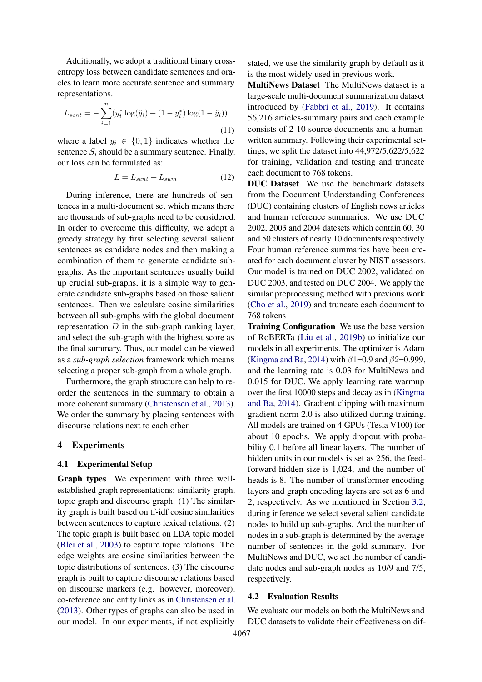Additionally, we adopt a traditional binary crossentropy loss between candidate sentences and oracles to learn more accurate sentence and summary representations.

$$
L_{sent} = -\sum_{i=1}^{n} (y_i^* \log(\hat{y}_i) + (1 - y_i^*) \log(1 - \hat{y}_i))
$$
\n(11)

where a label  $y_i \in \{0, 1\}$  indicates whether the sentence  $S_i$  should be a summary sentence. Finally, our loss can be formulated as:

$$
L = L_{sent} + L_{sum} \tag{12}
$$

During inference, there are hundreds of sentences in a multi-document set which means there are thousands of sub-graphs need to be considered. In order to overcome this difficulty, we adopt a greedy strategy by first selecting several salient sentences as candidate nodes and then making a combination of them to generate candidate subgraphs. As the important sentences usually build up crucial sub-graphs, it is a simple way to generate candidate sub-graphs based on those salient sentences. Then we calculate cosine similarities between all sub-graphs with the global document representation  $D$  in the sub-graph ranking layer, and select the sub-graph with the highest score as the final summary. Thus, our model can be viewed as a *sub-graph selection* framework which means selecting a proper sub-graph from a whole graph.

Furthermore, the graph structure can help to reorder the sentences in the summary to obtain a more coherent summary [\(Christensen et al.,](#page-9-1) [2013\)](#page-9-1). We order the summary by placing sentences with discourse relations next to each other.

## 4 Experiments

## 4.1 Experimental Setup

Graph types We experiment with three wellestablished graph representations: similarity graph, topic graph and discourse graph. (1) The similarity graph is built based on tf-idf cosine similarities between sentences to capture lexical relations. (2) The topic graph is built based on LDA topic model [\(Blei et al.,](#page-8-1) [2003\)](#page-8-1) to capture topic relations. The edge weights are cosine similarities between the topic distributions of sentences. (3) The discourse graph is built to capture discourse relations based on discourse markers (e.g. however, moreover), co-reference and entity links as in [Christensen et al.](#page-9-1) [\(2013\)](#page-9-1). Other types of graphs can also be used in our model. In our experiments, if not explicitly

stated, we use the similarity graph by default as it is the most widely used in previous work.

MultiNews Dataset The MultiNews dataset is a large-scale multi-document summarization dataset introduced by [\(Fabbri et al.,](#page-9-6) [2019\)](#page-9-6). It contains 56,216 articles-summary pairs and each example consists of 2-10 source documents and a humanwritten summary. Following their experimental settings, we split the dataset into 44,972/5,622/5,622 for training, validation and testing and truncate each document to 768 tokens.

DUC Dataset We use the benchmark datasets from the Document Understanding Conferences (DUC) containing clusters of English news articles and human reference summaries. We use DUC 2002, 2003 and 2004 datesets which contain 60, 30 and 50 clusters of nearly 10 documents respectively. Four human reference summaries have been created for each document cluster by NIST assessors. Our model is trained on DUC 2002, validated on DUC 2003, and tested on DUC 2004. We apply the similar preprocessing method with previous work [\(Cho et al.,](#page-9-7) [2019\)](#page-9-7) and truncate each document to 768 tokens

Training Configuration We use the base version of RoBERTa [\(Liu et al.,](#page-10-5) [2019b\)](#page-10-5) to initialize our models in all experiments. The optimizer is Adam [\(Kingma and Ba,](#page-9-8) [2014\)](#page-9-8) with  $\beta$ 1=0.9 and  $\beta$ 2=0.999, and the learning rate is 0.03 for MultiNews and 0.015 for DUC. We apply learning rate warmup over the first 10000 steps and decay as in [\(Kingma](#page-9-8) [and Ba,](#page-9-8) [2014\)](#page-9-8). Gradient clipping with maximum gradient norm 2.0 is also utilized during training. All models are trained on 4 GPUs (Tesla V100) for about 10 epochs. We apply dropout with probability 0.1 before all linear layers. The number of hidden units in our models is set as 256, the feedforward hidden size is 1,024, and the number of heads is 8. The number of transformer encoding layers and graph encoding layers are set as 6 and 2, respectively. As we mentioned in Section [3.2,](#page-3-0) during inference we select several salient candidate nodes to build up sub-graphs. And the number of nodes in a sub-graph is determined by the average number of sentences in the gold summary. For MultiNews and DUC, we set the number of candidate nodes and sub-graph nodes as 10/9 and 7/5, respectively.

#### 4.2 Evaluation Results

We evaluate our models on both the MultiNews and DUC datasets to validate their effectiveness on dif-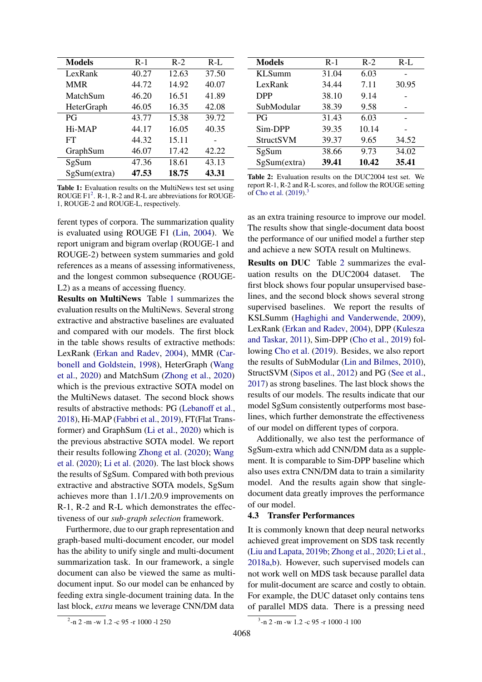<span id="page-5-1"></span>

| <b>Models</b>     | $R-1$ | $R-2$ | $R-L$ |
|-------------------|-------|-------|-------|
| LexRank           | 40.27 | 12.63 | 37.50 |
| <b>MMR</b>        | 44.72 | 14.92 | 40.07 |
| MatchSum          | 46.20 | 16.51 | 41.89 |
| <b>HeterGraph</b> | 46.05 | 16.35 | 42.08 |
| PG                | 43.77 | 15.38 | 39.72 |
| Hi-MAP            | 44.17 | 16.05 | 40.35 |
| FT                | 44.32 | 15.11 |       |
| GraphSum          | 46.07 | 17.42 | 42.22 |
| SgSum             | 47.36 | 18.61 | 43.13 |
| SgSum(extra)      | 47.53 | 18.75 | 43.31 |

Table 1: Evaluation results on the MultiNews test set using ROUGE  $F1^2$  $F1^2$ . R-1, R-2 and R-L are abbreviations for ROUGE-1, ROUGE-2 and ROUGE-L, respectively.

ferent types of corpora. The summarization quality is evaluated using ROUGE F1 [\(Lin,](#page-9-9) [2004\)](#page-9-9). We report unigram and bigram overlap (ROUGE-1 and ROUGE-2) between system summaries and gold references as a means of assessing informativeness, and the longest common subsequence (ROUGE-L2) as a means of accessing fluency.

Results on MultiNews Table [1](#page-5-1) summarizes the evaluation results on the MultiNews. Several strong extractive and abstractive baselines are evaluated and compared with our models. The first block in the table shows results of extractive methods: LexRank [\(Erkan and Radev,](#page-9-0) [2004\)](#page-9-0), MMR [\(Car](#page-8-2)[bonell and Goldstein,](#page-8-2) [1998\)](#page-8-2), HeterGraph [\(Wang](#page-10-1) [et al.,](#page-10-1) [2020\)](#page-10-1) and MatchSum [\(Zhong et al.,](#page-11-0) [2020\)](#page-11-0) which is the previous extractive SOTA model on the MultiNews dataset. The second block shows results of abstractive methods: PG [\(Lebanoff et al.,](#page-9-10) [2018\)](#page-9-10), Hi-MAP [\(Fabbri et al.,](#page-9-6) [2019\)](#page-9-6), FT(Flat Transformer) and GraphSum [\(Li et al.,](#page-9-5) [2020\)](#page-9-5) which is the previous abstractive SOTA model. We report their results following [Zhong et al.](#page-11-0) [\(2020\)](#page-11-0); [Wang](#page-10-1) [et al.](#page-10-1) [\(2020\)](#page-10-1); [Li et al.](#page-9-5) [\(2020\)](#page-9-5). The last block shows the results of SgSum. Compared with both previous extractive and abstractive SOTA models, SgSum achieves more than 1.1/1.2/0.9 improvements on R-1, R-2 and R-L which demonstrates the effectiveness of our *sub-graph selection* framework.

Furthermore, due to our graph representation and graph-based multi-document encoder, our model has the ability to unify single and multi-document summarization task. In our framework, a single document can also be viewed the same as multidocument input. So our model can be enhanced by feeding extra single-document training data. In the last block, *extra* means we leverage CNN/DM data

<span id="page-5-3"></span>

| <b>Models</b>    | $R-1$ | $R-2$ | $R-L$ |
|------------------|-------|-------|-------|
| <b>KLSumm</b>    | 31.04 | 6.03  |       |
| LexRank          | 34.44 | 7.11  | 30.95 |
| <b>DPP</b>       | 38.10 | 9.14  |       |
| SubModular       | 38.39 | 9.58  |       |
| PG               | 31.43 | 6.03  |       |
| Sim-DPP          | 39.35 | 10.14 |       |
| <b>StructSVM</b> | 39.37 | 9.65  | 34.52 |
| SgSum            | 38.66 | 9.73  | 34.02 |
| SgSum(extra)     | 39.41 | 10.42 | 35.41 |

Table 2: Evaluation results on the DUC2004 test set. We report R-1, R-2 and R-L scores, and follow the ROUGE setting of [Cho et al.](#page-9-7)  $(2019)^3$  $(2019)^3$  $(2019)^3$ 

as an extra training resource to improve our model. The results show that single-document data boost the performance of our unified model a further step and achieve a new SOTA result on Multinews.

Results on DUC Table [2](#page-5-3) summarizes the evaluation results on the DUC2004 dataset. The first block shows four popular unsupervised baselines, and the second block shows several strong supervised baselines. We report the results of KSLSumm [\(Haghighi and Vanderwende,](#page-9-11) [2009\)](#page-9-11), LexRank [\(Erkan and Radev,](#page-9-0) [2004\)](#page-9-0), DPP [\(Kulesza](#page-9-12) [and Taskar,](#page-9-12) [2011\)](#page-9-12), Sim-DPP [\(Cho et al.,](#page-9-7) [2019\)](#page-9-7) following [Cho et al.](#page-9-7) [\(2019\)](#page-9-7). Besides, we also report the results of SubModular [\(Lin and Bilmes,](#page-9-13) [2010\)](#page-9-13), StructSVM [\(Sipos et al.,](#page-10-6) [2012\)](#page-10-6) and PG [\(See et al.,](#page-10-7) [2017\)](#page-10-7) as strong baselines. The last block shows the results of our models. The results indicate that our model SgSum consistently outperforms most baselines, which further demonstrate the effectiveness of our model on different types of corpora.

Additionally, we also test the performance of SgSum-extra which add CNN/DM data as a supplement. It is comparable to Sim-DPP baseline which also uses extra CNN/DM data to train a similarity model. And the results again show that singledocument data greatly improves the performance of our model.

## 4.3 Transfer Performances

It is commonly known that deep neural networks achieved great improvement on SDS task recently [\(Liu and Lapata,](#page-10-8) [2019b;](#page-10-8) [Zhong et al.,](#page-11-0) [2020;](#page-11-0) [Li et al.,](#page-9-14) [2018a](#page-9-14)[,b\)](#page-9-15). However, such supervised models can not work well on MDS task because parallel data for mulit-document are scarce and costly to obtain. For example, the DUC dataset only contains tens of parallel MDS data. There is a pressing need

<span id="page-5-0"></span><sup>2</sup> -n 2 -m -w 1.2 -c 95 -r 1000 -l 250

<span id="page-5-2"></span><sup>3</sup> -n 2 -m -w 1.2 -c 95 -r 1000 -l 100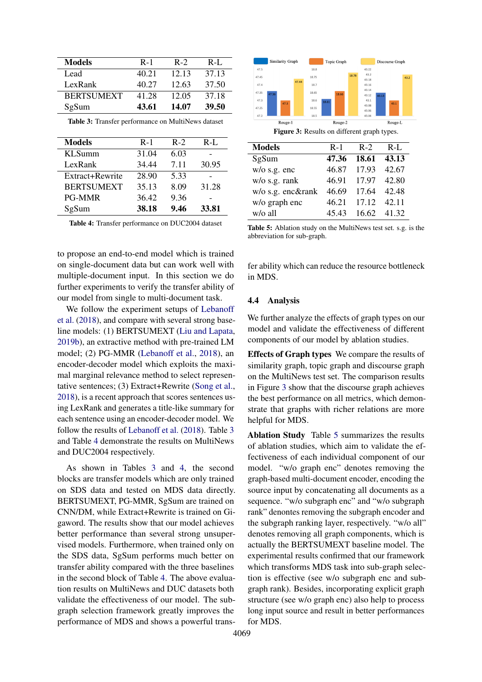<span id="page-6-0"></span>

| Models            | $R-1$ | $R-2$ | $R-I$ . |
|-------------------|-------|-------|---------|
| Lead              | 40.21 | 12.13 | 37.13   |
| LexRank           | 40.27 | 12.63 | 37.50   |
| <b>BERTSUMEXT</b> | 41.28 | 12.05 | 37.18   |
| SgSum             | 43.61 | 14.07 | 39.50   |

Table 3: Transfer performance on MultiNews dataset

<span id="page-6-1"></span>

| <b>Models</b>     | $R-1$ | $R-2$ | $R-I$ . |
|-------------------|-------|-------|---------|
| <b>KLSumm</b>     | 31.04 | 6.03  |         |
| LexRank           | 34.44 | 7.11  | 30.95   |
| Extract+Rewrite   | 28.90 | 5.33  |         |
| <b>BERTSUMEXT</b> | 35.13 | 8.09  | 31.28   |
| <b>PG-MMR</b>     | 36.42 | 9.36  |         |
| SgSum             | 38.18 | 9.46  | 33.81   |

Table 4: Transfer performance on DUC2004 dataset

to propose an end-to-end model which is trained on single-document data but can work well with multiple-document input. In this section we do further experiments to verify the transfer ability of our model from single to multi-document task.

We follow the experiment setups of [Lebanoff](#page-9-10) [et al.](#page-9-10) [\(2018\)](#page-9-10), and compare with several strong baseline models: (1) BERTSUMEXT [\(Liu and Lapata,](#page-10-8) [2019b\)](#page-10-8), an extractive method with pre-trained LM model; (2) PG-MMR [\(Lebanoff et al.,](#page-9-10) [2018\)](#page-9-10), an encoder-decoder model which exploits the maximal marginal relevance method to select representative sentences; (3) Extract+Rewrite [\(Song et al.,](#page-10-9) [2018\)](#page-10-9), is a recent approach that scores sentences using LexRank and generates a title-like summary for each sentence using an encoder-decoder model. We follow the results of [Lebanoff et al.](#page-9-10) [\(2018\)](#page-9-10). Table [3](#page-6-0) and Table [4](#page-6-1) demonstrate the results on MultiNews and DUC2004 respectively.

As shown in Tables [3](#page-6-0) and [4,](#page-6-1) the second blocks are transfer models which are only trained on SDS data and tested on MDS data directly. BERTSUMEXT, PG-MMR, SgSum are trained on CNN/DM, while Extract+Rewrite is trained on Gigaword. The results show that our model achieves better performance than several strong unsupervised models. Furthermore, when trained only on the SDS data, SgSum performs much better on transfer ability compared with the three baselines in the second block of Table [4.](#page-6-1) The above evaluation results on MultiNews and DUC datasets both validate the effectiveness of our model. The subgraph selection framework greatly improves the performance of MDS and shows a powerful trans-

<span id="page-6-2"></span>

<span id="page-6-3"></span>

| ***********       |       |                   |             |
|-------------------|-------|-------------------|-------------|
| SgSum             | 47.36 | 18.61 43.13       |             |
| $w/o$ s.g. enc    |       | 46.87 17.93 42.67 |             |
| w/o s.g. rank     | 46.91 | 17.97 42.80       |             |
| w/o s.g. enc&rank | 46.69 |                   | 17.64 42.48 |
| w/o graph enc     |       | 46.21 17.12 42.11 |             |
| w/o all           |       | 45.43 16.62 41.32 |             |

Table 5: Ablation study on the MultiNews test set. s.g. is the abbreviation for sub-graph.

fer ability which can reduce the resource bottleneck in MDS.

#### 4.4 Analysis

We further analyze the effects of graph types on our model and validate the effectiveness of different components of our model by ablation studies.

Effects of Graph types We compare the results of similarity graph, topic graph and discourse graph on the MultiNews test set. The comparison results in Figure [3](#page-6-2) show that the discourse graph achieves the best performance on all metrics, which demonstrate that graphs with richer relations are more helpful for MDS.

Ablation Study Table [5](#page-6-3) summarizes the results of ablation studies, which aim to validate the effectiveness of each individual component of our model. "w/o graph enc" denotes removing the graph-based multi-document encoder, encoding the source input by concatenating all documents as a sequence. "w/o subgraph enc" and "w/o subgraph rank" denontes removing the subgraph encoder and the subgraph ranking layer, respectively. "w/o all" denotes removing all graph components, which is actually the BERTSUMEXT baseline model. The experimental results confirmed that our framework which transforms MDS task into sub-graph selection is effective (see w/o subgraph enc and subgraph rank). Besides, incorporating explicit graph structure (see w/o graph enc) also help to process long input source and result in better performances for MDS.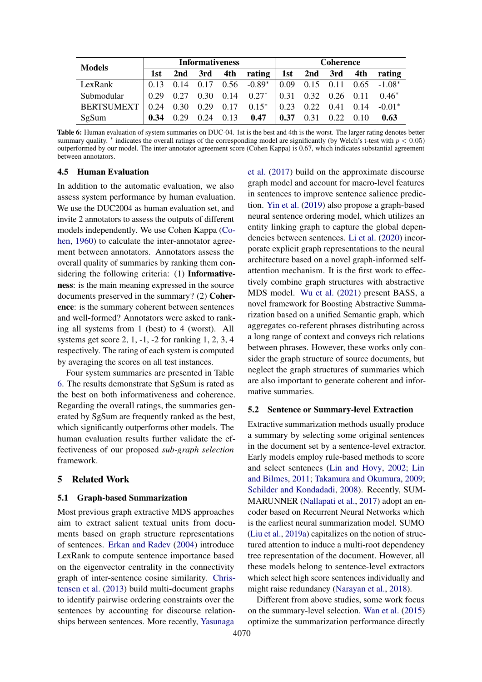<span id="page-7-0"></span>

| <b>Models</b>     | <b>Informativeness</b> |      |      |      | Coherence          |            |             |      |      |                 |
|-------------------|------------------------|------|------|------|--------------------|------------|-------------|------|------|-----------------|
|                   | 1st                    | 2nd  | 3rd  | 4th  | rating $\parallel$ |            | 1st 2nd 3rd |      | 4th  | rating          |
| LexRank           | 0.13                   | 0.14 | 0.17 |      | $0.56 - 0.89^*$    | $\pm 0.09$ | 0.15        | 0.11 |      | $0.65 - 1.08^*$ |
| Submodular        | 0.29                   | 0.27 | 0.30 | 0.14 | $0.27*$            | 0.31       | 0.32        | 0.26 | 0.11 | $0.46*$         |
| <b>BERTSUMEXT</b> | 0.24                   | 0.30 | 0.29 | 0.17 | $0.15*$            | 0.23       | 0.22        | 0.41 | 0.14 | $-0.01*$        |
| SgSum             | 0.34                   | 0.29 | 0.24 | 0.13 | 0.47               | 0.37       | 0.31        | 0.22 | 0.10 | 0.63            |

Table 6: Human evaluation of system summaries on DUC-04. 1st is the best and 4th is the worst. The larger rating denotes better summary quality.  $*$  indicates the overall ratings of the corresponding model are significantly (by Welch's t-test with  $p < 0.05$ ) outperformed by our model. The inter-annotator agreement score (Cohen Kappa) is 0.67, which indicates substantial agreement between annotators.

# 4.5 Human Evaluation

In addition to the automatic evaluation, we also assess system performance by human evaluation. We use the DUC2004 as human evaluation set, and invite 2 annotators to assess the outputs of different models independently. We use Cohen Kappa [\(Co](#page-9-16)[hen,](#page-9-16) [1960\)](#page-9-16) to calculate the inter-annotator agreement between annotators. Annotators assess the overall quality of summaries by ranking them considering the following criteria: (1) Informativeness: is the main meaning expressed in the source documents preserved in the summary? (2) Coherence: is the summary coherent between sentences and well-formed? Annotators were asked to ranking all systems from 1 (best) to 4 (worst). All systems get score 2, 1, -1, -2 for ranking 1, 2, 3, 4 respectively. The rating of each system is computed by averaging the scores on all test instances.

Four system summaries are presented in Table [6.](#page-7-0) The results demonstrate that SgSum is rated as the best on both informativeness and coherence. Regarding the overall ratings, the summaries generated by SgSum are frequently ranked as the best, which significantly outperforms other models. The human evaluation results further validate the effectiveness of our proposed *sub-graph selection* framework.

# 5 Related Work

### 5.1 Graph-based Summarization

Most previous graph extractive MDS approaches aim to extract salient textual units from documents based on graph structure representations of sentences. [Erkan and Radev](#page-9-0) [\(2004\)](#page-9-0) introduce LexRank to compute sentence importance based on the eigenvector centrality in the connectivity graph of inter-sentence cosine similarity. [Chris](#page-9-1)[tensen et al.](#page-9-1) [\(2013\)](#page-9-1) build multi-document graphs to identify pairwise ordering constraints over the sentences by accounting for discourse relationships between sentences. More recently, [Yasunaga](#page-11-3)

[et al.](#page-11-3) [\(2017\)](#page-11-3) build on the approximate discourse graph model and account for macro-level features in sentences to improve sentence salience prediction. [Yin et al.](#page-11-4) [\(2019\)](#page-11-4) also propose a graph-based neural sentence ordering model, which utilizes an entity linking graph to capture the global dependencies between sentences. [Li et al.](#page-9-5) [\(2020\)](#page-9-5) incorporate explicit graph representations to the neural architecture based on a novel graph-informed selfattention mechanism. It is the first work to effectively combine graph structures with abstractive MDS model. [Wu et al.](#page-11-5) [\(2021\)](#page-11-5) present BASS, a novel framework for Boosting Abstractive Summarization based on a unified Semantic graph, which aggregates co-referent phrases distributing across a long range of context and conveys rich relations between phrases. However, these works only consider the graph structure of source documents, but neglect the graph structures of summaries which are also important to generate coherent and informative summaries.

#### 5.2 Sentence or Summary-level Extraction

Extractive summarization methods usually produce a summary by selecting some original sentences in the document set by a sentence-level extractor. Early models employ rule-based methods to score and select sentenecs [\(Lin and Hovy,](#page-9-17) [2002;](#page-9-17) [Lin](#page-10-10) [and Bilmes,](#page-10-10) [2011;](#page-10-10) [Takamura and Okumura,](#page-10-11) [2009;](#page-10-11) [Schilder and Kondadadi,](#page-10-12) [2008\)](#page-10-12). Recently, SUM-MARUNNER [\(Nallapati et al.,](#page-10-4) [2017\)](#page-10-4) adopt an encoder based on Recurrent Neural Networks which is the earliest neural summarization model. SUMO [\(Liu et al.,](#page-10-13) [2019a\)](#page-10-13) capitalizes on the notion of structured attention to induce a multi-root dependency tree representation of the document. However, all these models belong to sentence-level extractors which select high score sentences individually and might raise redundancy [\(Narayan et al.,](#page-10-14) [2018\)](#page-10-14).

Different from above studies, some work focus on the summary-level selection. [Wan et al.](#page-10-0) [\(2015\)](#page-10-0) optimize the summarization performance directly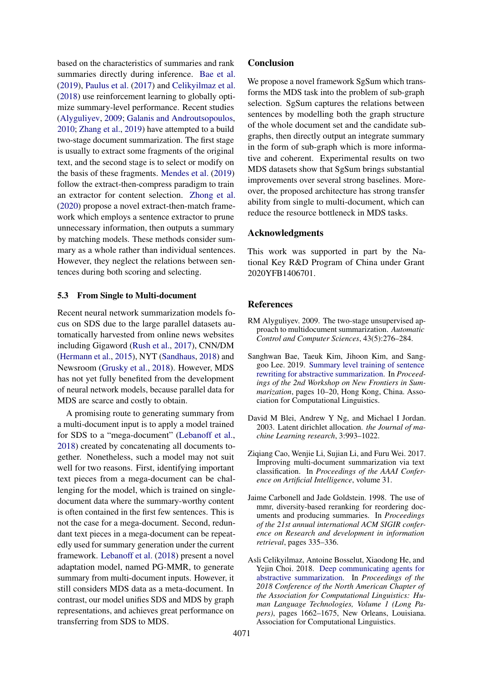based on the characteristics of summaries and rank summaries directly during inference. [Bae et al.](#page-8-3) [\(2019\)](#page-8-3), [Paulus et al.](#page-10-15) [\(2017\)](#page-10-15) and [Celikyilmaz et al.](#page-8-4) [\(2018\)](#page-8-4) use reinforcement learning to globally optimize summary-level performance. Recent studies [\(Alyguliyev,](#page-8-5) [2009;](#page-8-5) [Galanis and Androutsopoulos,](#page-9-18) [2010;](#page-9-18) [Zhang et al.,](#page-11-6) [2019\)](#page-11-6) have attempted to a build two-stage document summarization. The first stage is usually to extract some fragments of the original text, and the second stage is to select or modify on the basis of these fragments. [Mendes et al.](#page-10-16) [\(2019\)](#page-10-16) follow the extract-then-compress paradigm to train an extractor for content selection. [Zhong et al.](#page-11-0) [\(2020\)](#page-11-0) propose a novel extract-then-match framework which employs a sentence extractor to prune unnecessary information, then outputs a summary by matching models. These methods consider summary as a whole rather than individual sentences. However, they neglect the relations between sentences during both scoring and selecting.

# 5.3 From Single to Multi-document

Recent neural network summarization models focus on SDS due to the large parallel datasets automatically harvested from online news websites including Gigaword [\(Rush et al.,](#page-10-17) [2017\)](#page-10-17), CNN/DM [\(Hermann et al.,](#page-9-19) [2015\)](#page-9-19), NYT [\(Sandhaus,](#page-10-18) [2018\)](#page-10-18) and Newsroom [\(Grusky et al.,](#page-9-20) [2018\)](#page-9-20). However, MDS has not yet fully benefited from the development of neural network models, because parallel data for MDS are scarce and costly to obtain.

A promising route to generating summary from a multi-document input is to apply a model trained for SDS to a "mega-document" [\(Lebanoff et al.,](#page-9-10) [2018\)](#page-9-10) created by concatenating all documents together. Nonetheless, such a model may not suit well for two reasons. First, identifying important text pieces from a mega-document can be challenging for the model, which is trained on singledocument data where the summary-worthy content is often contained in the first few sentences. This is not the case for a mega-document. Second, redundant text pieces in a mega-document can be repeatedly used for summary generation under the current framework. [Lebanoff et al.](#page-9-10) [\(2018\)](#page-9-10) present a novel adaptation model, named PG-MMR, to generate summary from multi-document inputs. However, it still considers MDS data as a meta-document. In contrast, our model unifies SDS and MDS by graph representations, and achieves great performance on transferring from SDS to MDS.

## **Conclusion**

We propose a novel framework SgSum which transforms the MDS task into the problem of sub-graph selection. SgSum captures the relations between sentences by modelling both the graph structure of the whole document set and the candidate subgraphs, then directly output an integrate summary in the form of sub-graph which is more informative and coherent. Experimental results on two MDS datasets show that SgSum brings substantial improvements over several strong baselines. Moreover, the proposed architecture has strong transfer ability from single to multi-document, which can reduce the resource bottleneck in MDS tasks.

#### Acknowledgments

This work was supported in part by the National Key R&D Program of China under Grant 2020YFB1406701.

# References

- <span id="page-8-5"></span>RM Alyguliyev. 2009. The two-stage unsupervised approach to multidocument summarization. *Automatic Control and Computer Sciences*, 43(5):276–284.
- <span id="page-8-3"></span>Sanghwan Bae, Taeuk Kim, Jihoon Kim, and Sanggoo Lee. 2019. [Summary level training of sentence](https://doi.org/10.18653/v1/D19-5402) [rewriting for abstractive summarization.](https://doi.org/10.18653/v1/D19-5402) In *Proceedings of the 2nd Workshop on New Frontiers in Summarization*, pages 10–20, Hong Kong, China. Association for Computational Linguistics.
- <span id="page-8-1"></span>David M Blei, Andrew Y Ng, and Michael I Jordan. 2003. Latent dirichlet allocation. *the Journal of machine Learning research*, 3:993–1022.
- <span id="page-8-0"></span>Ziqiang Cao, Wenjie Li, Sujian Li, and Furu Wei. 2017. Improving multi-document summarization via text classification. In *Proceedings of the AAAI Conference on Artificial Intelligence*, volume 31.
- <span id="page-8-2"></span>Jaime Carbonell and Jade Goldstein. 1998. The use of mmr, diversity-based reranking for reordering documents and producing summaries. In *Proceedings of the 21st annual international ACM SIGIR conference on Research and development in information retrieval*, pages 335–336.
- <span id="page-8-4"></span>Asli Celikyilmaz, Antoine Bosselut, Xiaodong He, and Yejin Choi. 2018. [Deep communicating agents for](https://doi.org/10.18653/v1/N18-1150) [abstractive summarization.](https://doi.org/10.18653/v1/N18-1150) In *Proceedings of the 2018 Conference of the North American Chapter of the Association for Computational Linguistics: Human Language Technologies, Volume 1 (Long Papers)*, pages 1662–1675, New Orleans, Louisiana. Association for Computational Linguistics.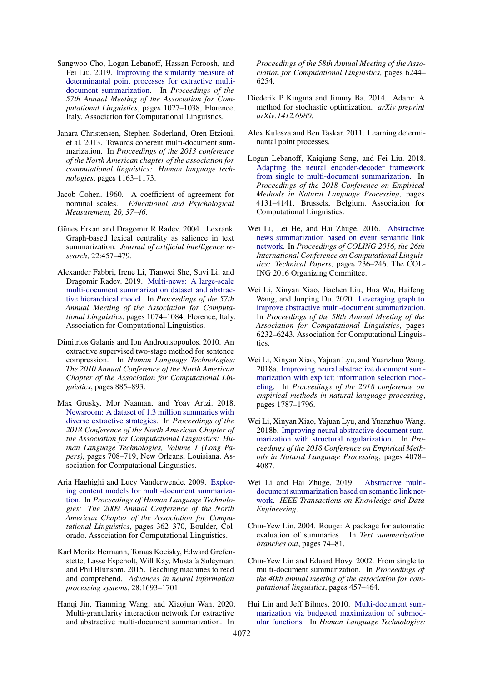- <span id="page-9-7"></span>Sangwoo Cho, Logan Lebanoff, Hassan Foroosh, and Fei Liu. 2019. [Improving the similarity measure of](https://doi.org/10.18653/v1/P19-1098) [determinantal point processes for extractive multi](https://doi.org/10.18653/v1/P19-1098)[document summarization.](https://doi.org/10.18653/v1/P19-1098) In *Proceedings of the 57th Annual Meeting of the Association for Computational Linguistics*, pages 1027–1038, Florence, Italy. Association for Computational Linguistics.
- <span id="page-9-1"></span>Janara Christensen, Stephen Soderland, Oren Etzioni, et al. 2013. Towards coherent multi-document summarization. In *Proceedings of the 2013 conference of the North American chapter of the association for computational linguistics: Human language technologies*, pages 1163–1173.
- <span id="page-9-16"></span>Jacob Cohen. 1960. A coefficient of agreement for nominal scales. *Educational and Psychological Measurement, 20, 37–46*.
- <span id="page-9-0"></span>Günes Erkan and Dragomir R Radev. 2004. Lexrank: Graph-based lexical centrality as salience in text summarization. *Journal of artificial intelligence research*, 22:457–479.
- <span id="page-9-6"></span>Alexander Fabbri, Irene Li, Tianwei She, Suyi Li, and Dragomir Radev. 2019. [Multi-news: A large-scale](https://doi.org/10.18653/v1/P19-1102) [multi-document summarization dataset and abstrac](https://doi.org/10.18653/v1/P19-1102)[tive hierarchical model.](https://doi.org/10.18653/v1/P19-1102) In *Proceedings of the 57th Annual Meeting of the Association for Computational Linguistics*, pages 1074–1084, Florence, Italy. Association for Computational Linguistics.
- <span id="page-9-18"></span>Dimitrios Galanis and Ion Androutsopoulos. 2010. An extractive supervised two-stage method for sentence compression. In *Human Language Technologies: The 2010 Annual Conference of the North American Chapter of the Association for Computational Linguistics*, pages 885–893.
- <span id="page-9-20"></span>Max Grusky, Mor Naaman, and Yoav Artzi. 2018. [Newsroom: A dataset of 1.3 million summaries with](https://doi.org/10.18653/v1/N18-1065) [diverse extractive strategies.](https://doi.org/10.18653/v1/N18-1065) In *Proceedings of the 2018 Conference of the North American Chapter of the Association for Computational Linguistics: Human Language Technologies, Volume 1 (Long Papers)*, pages 708–719, New Orleans, Louisiana. Association for Computational Linguistics.
- <span id="page-9-11"></span>Aria Haghighi and Lucy Vanderwende. 2009. [Explor](https://www.aclweb.org/anthology/N09-1041)[ing content models for multi-document summariza](https://www.aclweb.org/anthology/N09-1041)[tion.](https://www.aclweb.org/anthology/N09-1041) In *Proceedings of Human Language Technologies: The 2009 Annual Conference of the North American Chapter of the Association for Computational Linguistics*, pages 362–370, Boulder, Colorado. Association for Computational Linguistics.
- <span id="page-9-19"></span>Karl Moritz Hermann, Tomas Kocisky, Edward Grefenstette, Lasse Espeholt, Will Kay, Mustafa Suleyman, and Phil Blunsom. 2015. Teaching machines to read and comprehend. *Advances in neural information processing systems*, 28:1693–1701.
- <span id="page-9-4"></span>Hanqi Jin, Tianming Wang, and Xiaojun Wan. 2020. Multi-granularity interaction network for extractive and abstractive multi-document summarization. In

*Proceedings of the 58th Annual Meeting of the Association for Computational Linguistics*, pages 6244– 6254.

- <span id="page-9-8"></span>Diederik P Kingma and Jimmy Ba. 2014. Adam: A method for stochastic optimization. *arXiv preprint arXiv:1412.6980*.
- <span id="page-9-12"></span>Alex Kulesza and Ben Taskar. 2011. Learning determinantal point processes.
- <span id="page-9-10"></span>Logan Lebanoff, Kaiqiang Song, and Fei Liu. 2018. [Adapting the neural encoder-decoder framework](https://doi.org/10.18653/v1/D18-1446) [from single to multi-document summarization.](https://doi.org/10.18653/v1/D18-1446) In *Proceedings of the 2018 Conference on Empirical Methods in Natural Language Processing*, pages 4131–4141, Brussels, Belgium. Association for Computational Linguistics.
- <span id="page-9-2"></span>Wei Li, Lei He, and Hai Zhuge. 2016. [Abstractive](https://aclanthology.org/C16-1023) [news summarization based on event semantic link](https://aclanthology.org/C16-1023) [network.](https://aclanthology.org/C16-1023) In *Proceedings of COLING 2016, the 26th International Conference on Computational Linguistics: Technical Papers*, pages 236–246. The COL-ING 2016 Organizing Committee.
- <span id="page-9-5"></span>Wei Li, Xinyan Xiao, Jiachen Liu, Hua Wu, Haifeng Wang, and Junping Du. 2020. [Leveraging graph to](https://aclanthology.org/2020.acl-main.555) [improve abstractive multi-document summarization.](https://aclanthology.org/2020.acl-main.555) In *Proceedings of the 58th Annual Meeting of the Association for Computational Linguistics*, pages 6232–6243. Association for Computational Linguistics.
- <span id="page-9-14"></span>Wei Li, Xinyan Xiao, Yajuan Lyu, and Yuanzhuo Wang. 2018a. [Improving neural abstractive document sum](https://aclanthology.org/D18-1205)[marization with explicit information selection mod](https://aclanthology.org/D18-1205)[eling.](https://aclanthology.org/D18-1205) In *Proceedings of the 2018 conference on empirical methods in natural language processing*, pages 1787–1796.
- <span id="page-9-15"></span>Wei Li, Xinyan Xiao, Yajuan Lyu, and Yuanzhuo Wang. 2018b. [Improving neural abstractive document sum](https://aclanthology.org/D18-1441)[marization with structural regularization.](https://aclanthology.org/D18-1441) In *Proceedings of the 2018 Conference on Empirical Methods in Natural Language Processing*, pages 4078– 4087.
- <span id="page-9-3"></span>Wei Li and Hai Zhuge. 2019. [Abstractive multi](https://ieeexplore.ieee.org/document/8736808)[document summarization based on semantic link net](https://ieeexplore.ieee.org/document/8736808)[work.](https://ieeexplore.ieee.org/document/8736808) *IEEE Transactions on Knowledge and Data Engineering*.
- <span id="page-9-9"></span>Chin-Yew Lin. 2004. Rouge: A package for automatic evaluation of summaries. In *Text summarization branches out*, pages 74–81.
- <span id="page-9-17"></span>Chin-Yew Lin and Eduard Hovy. 2002. From single to multi-document summarization. In *Proceedings of the 40th annual meeting of the association for computational linguistics*, pages 457–464.
- <span id="page-9-13"></span>Hui Lin and Jeff Bilmes. 2010. [Multi-document sum](https://aclanthology.org/N10-1134)[marization via budgeted maximization of submod](https://aclanthology.org/N10-1134)[ular functions.](https://aclanthology.org/N10-1134) In *Human Language Technologies:*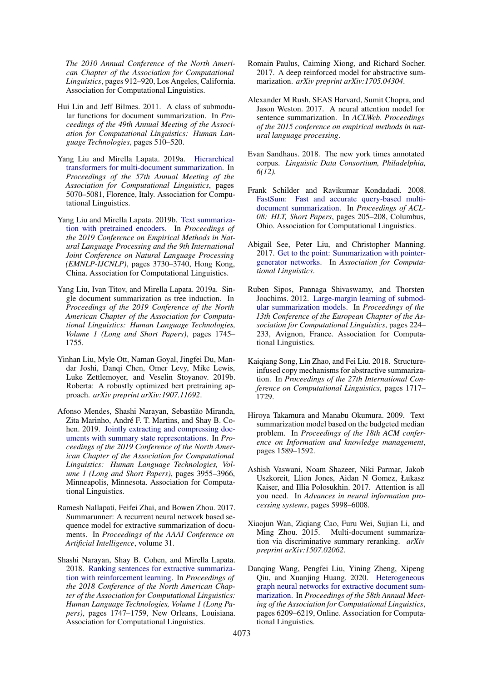*The 2010 Annual Conference of the North American Chapter of the Association for Computational Linguistics*, pages 912–920, Los Angeles, California. Association for Computational Linguistics.

- <span id="page-10-10"></span>Hui Lin and Jeff Bilmes. 2011. A class of submodular functions for document summarization. In *Proceedings of the 49th Annual Meeting of the Association for Computational Linguistics: Human Language Technologies*, pages 510–520.
- <span id="page-10-3"></span>Yang Liu and Mirella Lapata. 2019a. [Hierarchical](https://doi.org/10.18653/v1/P19-1500) [transformers for multi-document summarization.](https://doi.org/10.18653/v1/P19-1500) In *Proceedings of the 57th Annual Meeting of the Association for Computational Linguistics*, pages 5070–5081, Florence, Italy. Association for Computational Linguistics.
- <span id="page-10-8"></span>Yang Liu and Mirella Lapata. 2019b. [Text summariza](https://doi.org/10.18653/v1/D19-1387)[tion with pretrained encoders.](https://doi.org/10.18653/v1/D19-1387) In *Proceedings of the 2019 Conference on Empirical Methods in Natural Language Processing and the 9th International Joint Conference on Natural Language Processing (EMNLP-IJCNLP)*, pages 3730–3740, Hong Kong, China. Association for Computational Linguistics.
- <span id="page-10-13"></span>Yang Liu, Ivan Titov, and Mirella Lapata. 2019a. Single document summarization as tree induction. In *Proceedings of the 2019 Conference of the North American Chapter of the Association for Computational Linguistics: Human Language Technologies, Volume 1 (Long and Short Papers)*, pages 1745– 1755.
- <span id="page-10-5"></span>Yinhan Liu, Myle Ott, Naman Goyal, Jingfei Du, Mandar Joshi, Danqi Chen, Omer Levy, Mike Lewis, Luke Zettlemoyer, and Veselin Stoyanov. 2019b. Roberta: A robustly optimized bert pretraining approach. *arXiv preprint arXiv:1907.11692*.
- <span id="page-10-16"></span>Afonso Mendes, Shashi Narayan, Sebastião Miranda, Zita Marinho, André F. T. Martins, and Shay B. Cohen. 2019. [Jointly extracting and compressing doc](https://doi.org/10.18653/v1/N19-1397)[uments with summary state representations.](https://doi.org/10.18653/v1/N19-1397) In *Proceedings of the 2019 Conference of the North American Chapter of the Association for Computational Linguistics: Human Language Technologies, Volume 1 (Long and Short Papers)*, pages 3955–3966, Minneapolis, Minnesota. Association for Computational Linguistics.
- <span id="page-10-4"></span>Ramesh Nallapati, Feifei Zhai, and Bowen Zhou. 2017. Summarunner: A recurrent neural network based sequence model for extractive summarization of documents. In *Proceedings of the AAAI Conference on Artificial Intelligence*, volume 31.
- <span id="page-10-14"></span>Shashi Narayan, Shay B. Cohen, and Mirella Lapata. 2018. [Ranking sentences for extractive summariza](https://doi.org/10.18653/v1/N18-1158)[tion with reinforcement learning.](https://doi.org/10.18653/v1/N18-1158) In *Proceedings of the 2018 Conference of the North American Chapter of the Association for Computational Linguistics: Human Language Technologies, Volume 1 (Long Papers)*, pages 1747–1759, New Orleans, Louisiana. Association for Computational Linguistics.
- <span id="page-10-15"></span>Romain Paulus, Caiming Xiong, and Richard Socher. 2017. A deep reinforced model for abstractive summarization. *arXiv preprint arXiv:1705.04304*.
- <span id="page-10-17"></span>Alexander M Rush, SEAS Harvard, Sumit Chopra, and Jason Weston. 2017. A neural attention model for sentence summarization. In *ACLWeb. Proceedings of the 2015 conference on empirical methods in natural language processing*.
- <span id="page-10-18"></span>Evan Sandhaus. 2018. The new york times annotated corpus. *Linguistic Data Consortium, Philadelphia, 6(12).*
- <span id="page-10-12"></span>Frank Schilder and Ravikumar Kondadadi. 2008. [FastSum: Fast and accurate query-based multi](https://aclanthology.org/P08-2052)[document summarization.](https://aclanthology.org/P08-2052) In *Proceedings of ACL-08: HLT, Short Papers*, pages 205–208, Columbus, Ohio. Association for Computational Linguistics.
- <span id="page-10-7"></span>Abigail See, Peter Liu, and Christopher Manning. 2017. [Get to the point: Summarization with pointer](https://arxiv.org/abs/1704.04368)[generator networks.](https://arxiv.org/abs/1704.04368) In *Association for Computational Linguistics*.
- <span id="page-10-6"></span>Ruben Sipos, Pannaga Shivaswamy, and Thorsten Joachims. 2012. [Large-margin learning of submod](https://aclanthology.org/E12-1023)[ular summarization models.](https://aclanthology.org/E12-1023) In *Proceedings of the 13th Conference of the European Chapter of the Association for Computational Linguistics*, pages 224– 233, Avignon, France. Association for Computational Linguistics.
- <span id="page-10-9"></span>Kaiqiang Song, Lin Zhao, and Fei Liu. 2018. Structureinfused copy mechanisms for abstractive summarization. In *Proceedings of the 27th International Conference on Computational Linguistics*, pages 1717– 1729.
- <span id="page-10-11"></span>Hiroya Takamura and Manabu Okumura. 2009. Text summarization model based on the budgeted median problem. In *Proceedings of the 18th ACM conference on Information and knowledge management*, pages 1589–1592.
- <span id="page-10-2"></span>Ashish Vaswani, Noam Shazeer, Niki Parmar, Jakob Uszkoreit, Llion Jones, Aidan N Gomez, Łukasz Kaiser, and Illia Polosukhin. 2017. Attention is all you need. In *Advances in neural information processing systems*, pages 5998–6008.
- <span id="page-10-0"></span>Xiaojun Wan, Ziqiang Cao, Furu Wei, Sujian Li, and Ming Zhou. 2015. Multi-document summarization via discriminative summary reranking. *arXiv preprint arXiv:1507.02062*.
- <span id="page-10-1"></span>Danqing Wang, Pengfei Liu, Yining Zheng, Xipeng Qiu, and Xuanjing Huang. 2020. [Heterogeneous](https://doi.org/10.18653/v1/2020.acl-main.553) [graph neural networks for extractive document sum](https://doi.org/10.18653/v1/2020.acl-main.553)[marization.](https://doi.org/10.18653/v1/2020.acl-main.553) In *Proceedings of the 58th Annual Meeting of the Association for Computational Linguistics*, pages 6209–6219, Online. Association for Computational Linguistics.